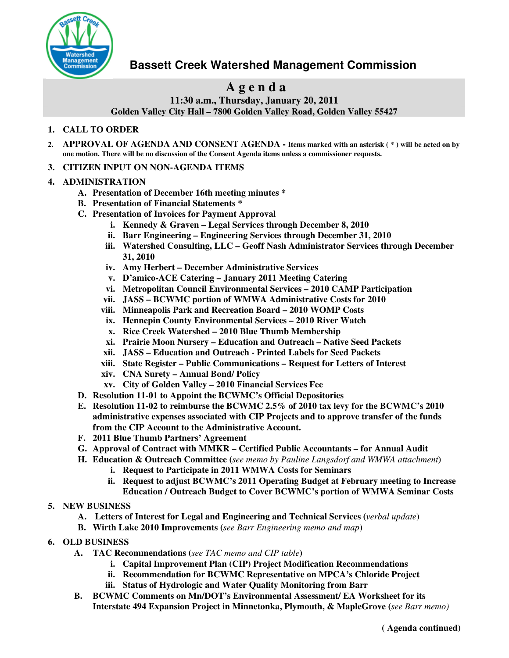

# **Bassett Creek Watershed Management Commission**

# **A g e n d a**

**11:30 a.m., Thursday, January 20, 2011 Golden Valley City Hall – 7800 Golden Valley Road, Golden Valley 55427**

## **1. CALL TO ORDER**

- 2. APPROVAL OF AGENDA AND CONSENT AGENDA Items marked with an asterisk (\*) will be acted on by **one motion. There will be no discussion of the Consent Agenda items unless a commissioner requests.**
- **3. CITIZEN INPUT ON NON-AGENDA ITEMS**

#### **4. ADMINISTRATION**

- **A. Presentation of December 16th meeting minutes \***
- **B. Presentation of Financial Statements \***
- **C. Presentation of Invoices for Payment Approval**
	- **i. Kennedy & Graven – Legal Services through December 8, 2010**
	- **ii. Barr Engineering – Engineering Services through December 31, 2010**
	- **iii. Watershed Consulting, LLC – Geoff Nash Administrator Services through December 31, 2010**
	- **iv. Amy Herbert – December Administrative Services**
	- **v. D'amico-ACE Catering – January 2011 Meeting Catering**
	- **vi. Metropolitan Council Environmental Services – 2010 CAMP Participation**
	- **vii. JASS – BCWMC portion of WMWA Administrative Costs for 2010**
	- **viii. Minneapolis Park and Recreation Board – 2010 WOMP Costs**
	- **ix. Hennepin County Environmental Services – 2010 River Watch**
	- **x. Rice Creek Watershed – 2010 Blue Thumb Membership**
	- **xi. Prairie Moon Nursery – Education and Outreach – Native Seed Packets**
	- **xii. JASS – Education and Outreach - Printed Labels for Seed Packets**
	- **xiii. State Register – Public Communications – Request for Letters of Interest**
	- **xiv. CNA Surety – Annual Bond/ Policy**
	- **xv. City of Golden Valley – 2010 Financial Services Fee**
- **D. Resolution 11-01 to Appoint the BCWMC's Official Depositories**
- **E. Resolution 11-02 to reimburse the BCWMC 2.5% of 2010 tax levy for the BCWMC's 2010 administrative expenses associated with CIP Projects and to approve transfer of the funds from the CIP Account to the Administrative Account.**
- **F. 2011 Blue Thumb Partners' Agreement**
- **G. Approval of Contract with MMKR – Certified Public Accountants – for Annual Audit**
- **H. Education & Outreach Committee (***see memo by Pauline Langsdorf and WMWA attachment***)**
	- **i. Request to Participate in 2011 WMWA Costs for Seminars**
	- **ii. Request to adjust BCWMC's 2011 Operating Budget at February meeting to Increase Education / Outreach Budget to Cover BCWMC's portion of WMWA Seminar Costs**

# **5. NEW BUSINESS**

- **A. Letters of Interest for Legal and Engineering and Technical Services (***verbal update***)**
- **B. Wirth Lake 2010 Improvements (***see Barr Engineering memo and map***)**
- **6. OLD BUSINESS**
	- **A. TAC Recommendations (***see TAC memo and CIP table***)**
		- **i. Capital Improvement Plan (CIP) Project Modification Recommendations**
		- **ii. Recommendation for BCWMC Representative on MPCA's Chloride Project**
		- **iii. Status of Hydrologic and Water Quality Monitoring from Barr**
	- **B. BCWMC Comments on Mn/DOT's Environmental Assessment/ EA Worksheet for its Interstate 494 Expansion Project in Minnetonka, Plymouth, & MapleGrove (***see Barr memo)*